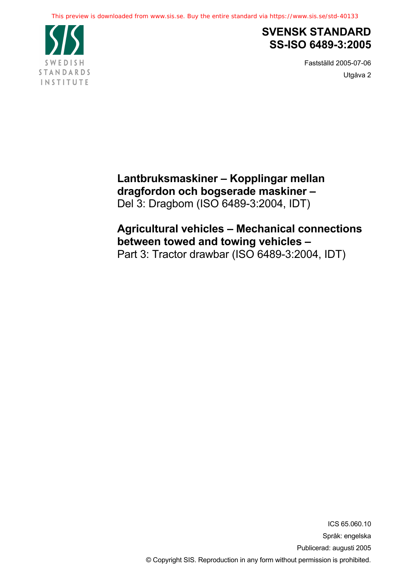

# **SVENSK STANDARD SS-ISO 6489-3:2005**

Fastställd 2005-07-06 Utgåva 2

**Lantbruksmaskiner – Kopplingar mellan dragfordon och bogserade maskiner –** Del 3: Dragbom (ISO 6489-3:2004, IDT)

# **Agricultural vehicles – Mechanical connections between towed and towing vehicles –** Part 3: Tractor drawbar (ISO 6489-3:2004, IDT)

ICS 65.060.10 Språk: engelska Publicerad: augusti 2005 © Copyright SIS. Reproduction in any form without permission is prohibited.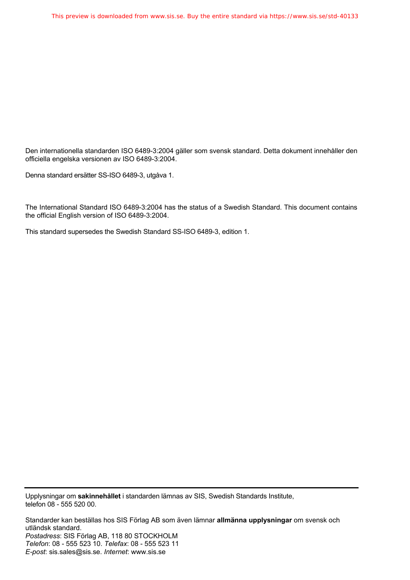Den internationella standarden ISO 6489-3:2004 gäller som svensk standard. Detta dokument innehåller den officiella engelska versionen av ISO 6489-3:2004.

Denna standard ersätter SS-ISO 6489-3, utgåva 1.

The International Standard ISO 6489-3:2004 has the status of a Swedish Standard. This document contains the official English version of ISO 6489-3:2004.

This standard supersedes the Swedish Standard SS-ISO 6489-3, edition 1.

Upplysningar om **sakinnehållet** i standarden lämnas av SIS, Swedish Standards Institute, telefon 08 - 555 520 00.

Standarder kan beställas hos SIS Förlag AB som även lämnar **allmänna upplysningar** om svensk och utländsk standard. *Postadress*: SIS Förlag AB, 118 80 STOCKHOLM *Telefon*: 08 - 555 523 10. *Telefax*: 08 - 555 523 11 *E-post*: sis.sales@sis.se. *Internet*: www.sis.se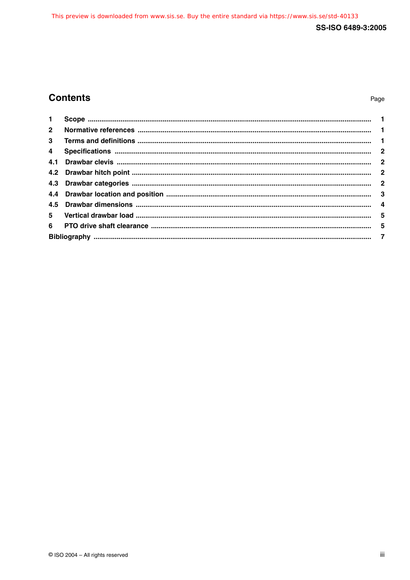## SS-ISO 6489-3:2005

## **Contents**

## Page

| $1 -$                   |  |  |  |
|-------------------------|--|--|--|
| 2 <sup>1</sup>          |  |  |  |
| 3                       |  |  |  |
| $\overline{\mathbf{4}}$ |  |  |  |
|                         |  |  |  |
|                         |  |  |  |
|                         |  |  |  |
|                         |  |  |  |
|                         |  |  |  |
| 5                       |  |  |  |
|                         |  |  |  |
|                         |  |  |  |
|                         |  |  |  |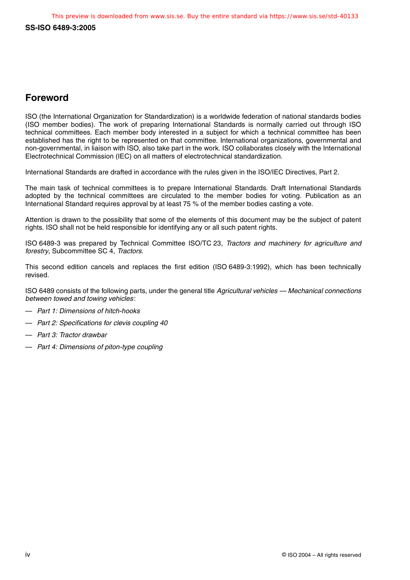**SS-ISO 6489-3:2005**

## **Foreword**

ISO (the International Organization for Standardization) is a worldwide federation of national standards bodies (ISO member bodies). The work of preparing International Standards is normally carried out through ISO technical committees. Each member body interested in a subject for which a technical committee has been established has the right to be represented on that committee. International organizations, governmental and non-governmental, in liaison with ISO, also take part in the work. ISO collaborates closely with the International Electrotechnical Commission (IEC) on all matters of electrotechnical standardization.

International Standards are drafted in accordance with the rules given in the ISO/IEC Directives, Part 2.

The main task of technical committees is to prepare International Standards. Draft International Standards adopted by the technical committees are circulated to the member bodies for voting. Publication as an International Standard requires approval by at least 75 % of the member bodies casting a vote.

Attention is drawn to the possibility that some of the elements of this document may be the subject of patent rights. ISO shall not be held responsible for identifying any or all such patent rights.

ISO 6489-3 was prepared by Technical Committee ISO/TC 23, Tractors and machinery for agriculture and forestry, Subcommittee SC 4, Tractors.

This second edition cancels and replaces the first edition (ISO 6489-3:1992), which has been technically revised.

ISO 6489 consists of the following parts, under the general title Agricultural vehicles — Mechanical connections between towed and towing vehicles:

- Part 1: Dimensions of hitch-hooks
- Part 2: Specifications for clevis coupling 40
- Part 3: Tractor drawbar
- Part 4: Dimensions of piton-type coupling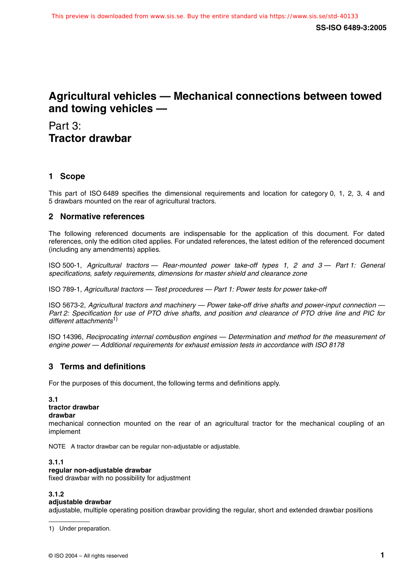## **Agricultural vehicles — Mechanical connections between towed and towing vehicles —**

Part 3: **Tractor drawbar**

## **1 Scope**

This part of ISO 6489 specifies the dimensional requirements and location for category 0, 1, 2, 3, 4 and 5 drawbars mounted on the rear of agricultural tractors.

### **2 Normative references**

The following referenced documents are indispensable for the application of this document. For dated references, only the edition cited applies. For undated references, the latest edition of the referenced document (including any amendments) applies.

ISO 500-1, Agricultural tractors — Rear-mounted power take-off types 1, 2 and 3 — Part 1: General specifications, safety requirements, dimensions for master shield and clearance zone

ISO 789-1, Agricultural tractors — Test procedures — Part 1: Power tests for power take-off

ISO 5673-2, Agricultural tractors and machinery — Power take-off drive shafts and power-input connection — Part 2: Specification for use of PTO drive shafts, and position and clearance of PTO drive line and PIC for different attachments<sup>1)</sup>

ISO 14396, Reciprocating internal combustion engines — Determination and method for the measurement of engine power — Additional requirements for exhaust emission tests in accordance with ISO 8178

### **3 Terms and definitions**

For the purposes of this document, the following terms and definitions apply.

#### **3.1**

#### **tractor drawbar**

**drawbar**

mechanical connection mounted on the rear of an agricultural tractor for the mechanical coupling of an implement

NOTE A tractor drawbar can be regular non-adjustable or adjustable.

#### **3.1.1**

#### **regular non-adjustable drawbar**

fixed drawbar with no possibility for adjustment

#### **3.1.2 adjustable drawbar**

adjustable, multiple operating position drawbar providing the regular, short and extended drawbar positions

1) Under preparation.